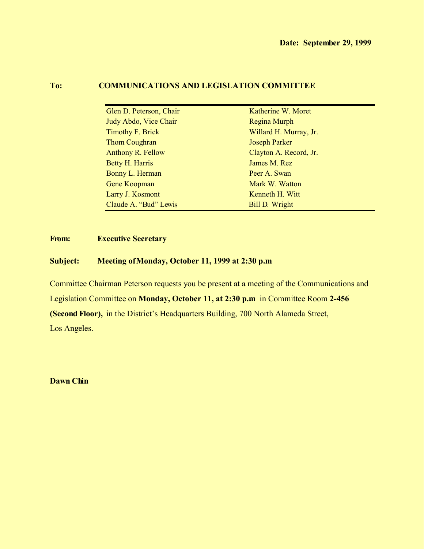# **To: COMMUNICATIONS AND LEGISLATION COMMITTEE**

| Glen D. Peterson, Chair  | Katherine W. Moret     |
|--------------------------|------------------------|
| Judy Abdo, Vice Chair    | Regina Murph           |
| Timothy F. Brick         | Willard H. Murray, Jr. |
| <b>Thom Coughran</b>     | <b>Joseph Parker</b>   |
| <b>Anthony R. Fellow</b> | Clayton A. Record, Jr. |
| <b>Betty H. Harris</b>   | James M. Rez           |
| Bonny L. Herman          | Peer A. Swan           |
| <b>Gene Koopman</b>      | Mark W. Watton         |
| Larry J. Kosmont         | Kenneth H. Witt        |
| Claude A. "Bud" Lewis    | Bill D. Wright         |
|                          |                        |

# **From: Executive Secretary**

# **Subject: Meeting of Monday, October 11, 1999 at 2:30 p.m.**

Committee Chairman Peterson requests you be present at a meeting of the Communications and Legislation Committee on **Monday, October 11, at 2:30 p.m.** in Committee Room **2-456 (Second Floor),** in the District's Headquarters Building, 700 North Alameda Street, Los Angeles.

**Dawn Chin**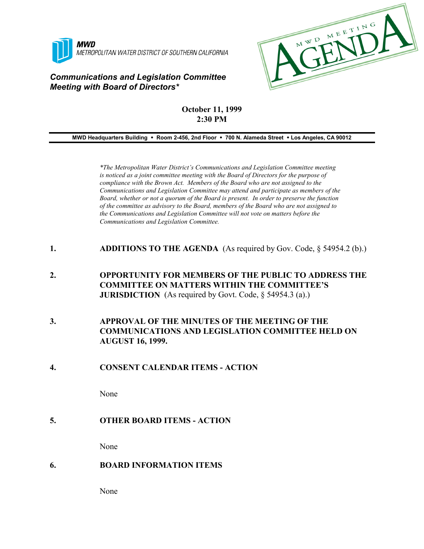

# *Communications and Legislation Committee Meeting with Board of Directors\**



# **October 11, 1999 2:30 PM**

**MWD Headquarters Building** ! **Room 2-456, 2nd Floor** ! **700 N. Alameda Street** ! **Los Angeles, CA 90012**

*\*The Metropolitan Water District's Communications and Legislation Committee meeting is noticed as a joint committee meeting with the Board of Directors for the purpose of compliance with the Brown Act. Members of the Board who are not assigned to the Communications and Legislation Committee may attend and participate as members of the Board, whether or not a quorum of the Board is present. In order to preserve the function of the committee as advisory to the Board, members of the Board who are not assigned to the Communications and Legislation Committee will not vote on matters before the Communications and Legislation Committee.*

- **1. ADDITIONS TO THE AGENDA** (As required by Gov. Code, § 54954.2 (b).)
- **2. OPPORTUNITY FOR MEMBERS OF THE PUBLIC TO ADDRESS THE COMMITTEE ON MATTERS WITHIN THE COMMITTEE'S JURISDICTION** (As required by Govt. Code, § 54954.3 (a).)
- **3. APPROVAL OF THE MINUTES OF THE MEETING OF THE COMMUNICATIONS AND LEGISLATION COMMITTEE HELD ON AUGUST 16, 1999.**

#### **4. CONSENT CALENDAR ITEMS - ACTION**

None

#### **5. OTHER BOARD ITEMS - ACTION**

None

#### **6. BOARD INFORMATION ITEMS**

None